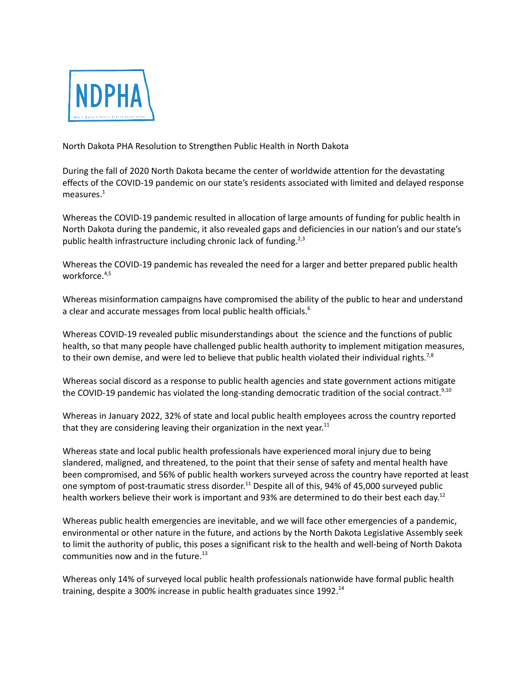

North Dakota PHA Resolution to Strengthen Public Health in North Dakota

During the fall of 2020 North Dakota became the center of worldwide attention for the devastating effects of the COVID-19 pandemic on our state's residents associated with limited and delayed response measures. $^1$ 

Whereas the COVID-19 pandemic resulted in allocation of large amounts of funding for public health in North Dakota during the pandemic, it also revealed gaps and deficiencies in our nation's and our state's public health infrastructure including chronic lack of funding.<sup>2,3</sup>

Whereas the COVID-19 pandemic has revealed the need for a larger and better prepared public health workforce. 4,5

Whereas misinformation campaigns have compromised the ability of the public to hear and understand a clear and accurate messages from local public health officials.<sup>6</sup>

Whereas COVID-19 revealed public misunderstandings about the science and the functions of public health, so that many people have challenged public health authority to implement mitigation measures, to their own demise, and were led to believe that public health violated their individual rights.<sup>7,8</sup>

Whereas social discord as a response to public health agencies and state government actions mitigate the COVID-19 pandemic has violated the long-standing democratic tradition of the social contract.<sup>9,10</sup>

Whereas in January 2022, 32% of state and local public health employees across the country reported that they are considering leaving their organization in the next year.<sup>11</sup>

Whereas state and local public health professionals have experienced moral injury due to being slandered, maligned, and threatened, to the point that their sense of safety and mental health have been compromised, and 56% of public health workers surveyed across the country have reported at least one symptom of post-traumatic stress disorder.<sup>11</sup> Despite all of this, 94% of 45,000 surveyed public health workers believe their work is important and 93% are determined to do their best each day.<sup>12</sup>

Whereas public health emergencies are inevitable, and we will face other emergencies of a pandemic, environmental or other nature in the future, and actions by the North Dakota Legislative Assembly seek to limit the authority of public, this poses a significant risk to the health and well-being of North Dakota communities now and in the future.<sup>13</sup>

Whereas only 14% of surveyed local public health professionals nationwide have formal public health training, despite a 300% increase in public health graduates since 1992.<sup>14</sup>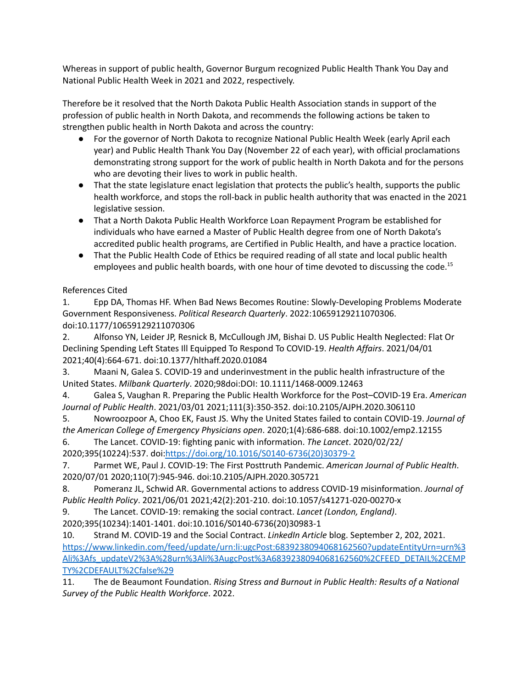Whereas in support of public health, Governor Burgum recognized Public Health Thank You Day and National Public Health Week in 2021 and 2022, respectively.

Therefore be it resolved that the North Dakota Public Health Association stands in support of the profession of public health in North Dakota, and recommends the following actions be taken to strengthen public health in North Dakota and across the country:

- For the governor of North Dakota to recognize National Public Health Week (early April each year) and Public Health Thank You Day (November 22 of each year), with official proclamations demonstrating strong support for the work of public health in North Dakota and for the persons who are devoting their lives to work in public health.
- That the state legislature enact legislation that protects the public's health, supports the public health workforce, and stops the roll-back in public health authority that was enacted in the 2021 legislative session.
- That a North Dakota Public Health Workforce Loan Repayment Program be established for individuals who have earned a Master of Public Health degree from one of North Dakota's accredited public health programs, are Certified in Public Health, and have a practice location.
- That the Public Health Code of Ethics be required reading of all state and local public health employees and public health boards, with one hour of time devoted to discussing the code. 15

## References Cited

1. Epp DA, Thomas HF. When Bad News Becomes Routine: Slowly-Developing Problems Moderate Government Responsiveness. *Political Research Quarterly*. 2022:10659129211070306. doi:10.1177/10659129211070306

2. Alfonso YN, Leider JP, Resnick B, McCullough JM, Bishai D. US Public Health Neglected: Flat Or Declining Spending Left States Ill Equipped To Respond To COVID-19. *Health Affairs*. 2021/04/01 2021;40(4):664-671. doi:10.1377/hlthaff.2020.01084

3. Maani N, Galea S. COVID-19 and underinvestment in the public health infrastructure of the United States. *Milbank Quarterly*. 2020;98doi:DOI: 10.1111/1468-0009.12463

4. Galea S, Vaughan R. Preparing the Public Health Workforce for the Post–COVID-19 Era. *American Journal of Public Health*. 2021/03/01 2021;111(3):350-352. doi:10.2105/AJPH.2020.306110

5. Nowroozpoor A, Choo EK, Faust JS. Why the United States failed to contain COVID-19. *Journal of the American College of Emergency Physicians open*. 2020;1(4):686-688. doi:10.1002/emp2.12155

6. The Lancet. COVID-19: fighting panic with information. *The Lancet*. 2020/02/22/ 2020;395(10224):537. doi[:https://doi.org/10.1016/S0140-6736\(20\)30379-2](https://doi.org/10.1016/S0140-6736(20)30379-2)

7. Parmet WE, Paul J. COVID-19: The First Posttruth Pandemic. *American Journal of Public Health*. 2020/07/01 2020;110(7):945-946. doi:10.2105/AJPH.2020.305721

8. Pomeranz JL, Schwid AR. Governmental actions to address COVID-19 misinformation. *Journal of Public Health Policy*. 2021/06/01 2021;42(2):201-210. doi:10.1057/s41271-020-00270-x

9. The Lancet. COVID-19: remaking the social contract. *Lancet (London, England)*.

2020;395(10234):1401-1401. doi:10.1016/S0140-6736(20)30983-1

10. Strand M. COVID-19 and the Social Contract. *LinkedIn Article* blog. September 2, 202, 2021. [https://www.linkedin.com/feed/update/urn:li:ugcPost:6839238094068162560?updateEntityUrn=urn%3](https://www.linkedin.com/feed/update/urn:li:ugcPost:6839238094068162560?updateEntityUrn=urn%3Ali%3Afs_updateV2%3A%28urn%3Ali%3AugcPost%3A6839238094068162560%2CFEED_DETAIL%2CEMPTY%2CDEFAULT%2Cfalse%29) [Ali%3Afs\\_updateV2%3A%28urn%3Ali%3AugcPost%3A6839238094068162560%2CFEED\\_DETAIL%2CEMP](https://www.linkedin.com/feed/update/urn:li:ugcPost:6839238094068162560?updateEntityUrn=urn%3Ali%3Afs_updateV2%3A%28urn%3Ali%3AugcPost%3A6839238094068162560%2CFEED_DETAIL%2CEMPTY%2CDEFAULT%2Cfalse%29) [TY%2CDEFAULT%2Cfalse%29](https://www.linkedin.com/feed/update/urn:li:ugcPost:6839238094068162560?updateEntityUrn=urn%3Ali%3Afs_updateV2%3A%28urn%3Ali%3AugcPost%3A6839238094068162560%2CFEED_DETAIL%2CEMPTY%2CDEFAULT%2Cfalse%29)

11. The de Beaumont Foundation. *Rising Stress and Burnout in Public Health: Results of a National Survey of the Public Health Workforce*. 2022.